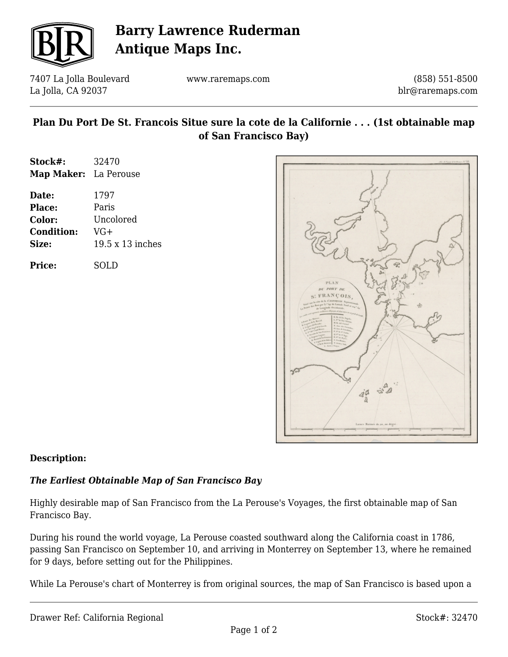

# **Barry Lawrence Ruderman Antique Maps Inc.**

7407 La Jolla Boulevard La Jolla, CA 92037

www.raremaps.com

(858) 551-8500 blr@raremaps.com

# **Plan Du Port De St. Francois Situe sure la cote de la Californie . . . (1st obtainable map of San Francisco Bay)**

| Stock#:               | 32470            |
|-----------------------|------------------|
| Map Maker: La Perouse |                  |
| Date:                 | 1797             |
| Place:                | Paris            |
| Color:                | Uncolored        |
| <b>Condition:</b>     | $VG+$            |
| Size:                 | 19.5 x 13 inches |
|                       |                  |

**Price:** SOLD



## **Description:**

## *The Earliest Obtainable Map of San Francisco Bay*

Highly desirable map of San Francisco from the La Perouse's Voyages, the first obtainable map of San Francisco Bay.

During his round the world voyage, La Perouse coasted southward along the California coast in 1786, passing San Francisco on September 10, and arriving in Monterrey on September 13, where he remained for 9 days, before setting out for the Philippines.

While La Perouse's chart of Monterrey is from original sources, the map of San Francisco is based upon a